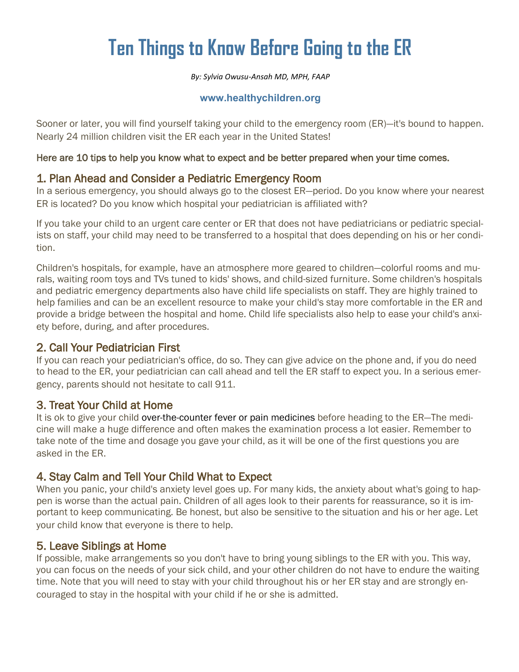# **Ten Things to Know Before Going to the ER**

*By: Sylvia Owusu-Ansah MD, MPH, FAAP*

#### **www.healthychildren.org**

Sooner or later, you will find yourself taking your child to the emergency room (ER)—it's bound to happen. Nearly 24 million children visit the ER each year in the United States!

#### Here are 10 tips to help you know what to expect and be better prepared when your time comes.

## 1. Plan Ahead and Consider a Pediatric Emergency Room

In a serious emergency, you should always go to the closest ER—period. Do you know where your nearest ER is located? Do you know which hospital your pediatrician is affiliated with?

If you take your child to an urgent care center or ER that does not have pediatricians or pediatric specialists on staff, your child may need to be transferred to a hospital that does depending on his or her condition.

Children's hospitals, for example, have an atmosphere more geared to children—colorful rooms and murals, waiting room toys and TVs tuned to kids' shows, and child-sized furniture. Some children's hospitals and pediatric emergency departments also have child life specialists on staff. They are highly trained to help families and can be an excellent resource to make your child's stay more comfortable in the ER and provide a bridge between the hospital and home. Child life specialists also help to ease your child's anxiety before, during, and after procedures.

### 2. Call Your Pediatrician First

If you can reach your pediatrician's office, do so. They can give advice on the phone and, if you do need to head to the ER, your pediatrician can call ahead and tell the ER staff to expect you. In a serious emergency, parents should not hesitate to call 911.

### 3. Treat Your Child at Home

It is ok to give your child [over-the-counter fever or pain medicines](https://www.healthychildren.org/English/safety-prevention/at-home/medication-safety/Pages/Fever-and-Pain-Medicines-How-Much-to-Give.aspx) before heading to the ER—The medicine will make a huge difference and often makes the examination process a lot easier. Remember to take note of the time and dosage you gave your child, as it will be one of the first questions you are asked in the ER.

### 4. Stay Calm and Tell Your Child What to Expect

When you panic, your child's anxiety level goes up. For many kids, the anxiety about what's going to happen is worse than the actual pain. Children of all ages look to their parents for reassurance, so it is important to keep communicating. Be honest, but also be sensitive to the situation and his or her age. Let your child know that everyone is there to help.

### 5. Leave Siblings at Home

If possible, make arrangements so you don't have to bring young siblings to the ER with you. This way, you can focus on the needs of your sick child, and your other children do not have to endure the waiting time. Note that you will need to stay with your child throughout his or her ER stay and are strongly encouraged to stay in the hospital with your child if he or she is admitted.